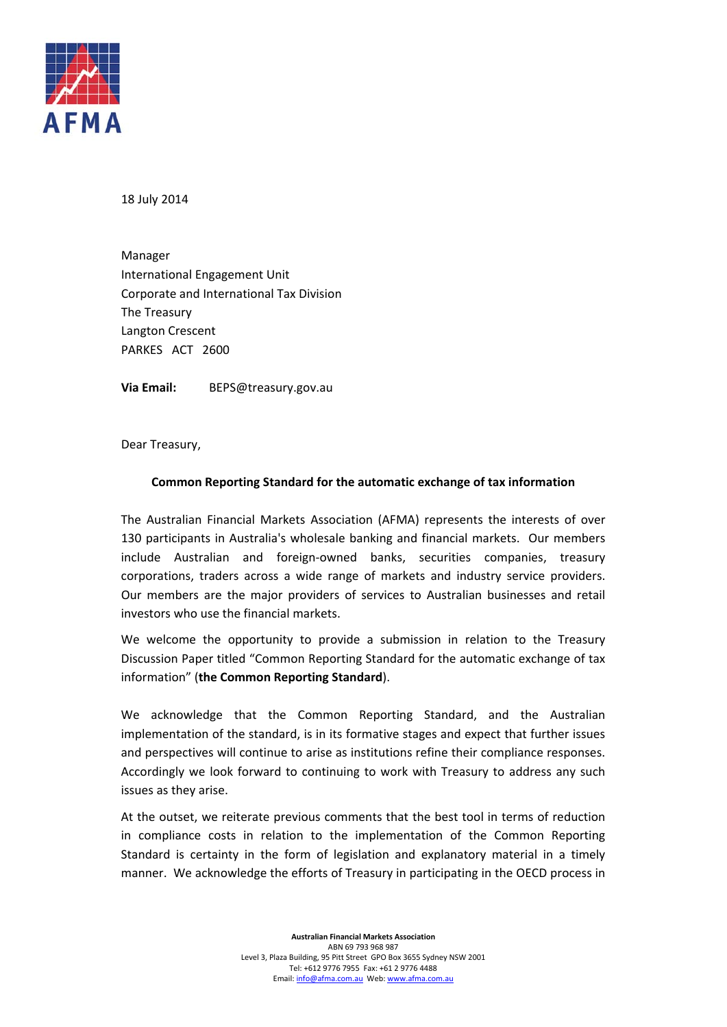

18 July 2014

 International Engagement Unit Corporate and International Tax Division The Treasury Langton Crescent PARKES ACT 2600 Manager

 **Via Email:** BEPS@treasury.gov.au

Dear Treasury,

#### **Common Reporting Standard for the automatic exchange of tax information**

 The Australian Financial Markets Association (AFMA) represents the interests of over 130 participants in Australia's wholesale banking and financial markets. Our members include Australian and foreign‐owned banks, securities companies, treasury corporations, traders across a wide range of markets and industry service providers. Our members are the major providers of services to Australian businesses and retail investors who use the financial markets.

 We welcome the opportunity to provide a submission in relation to the Treasury Discussion Paper titled "Common Reporting Standard for the automatic exchange of tax  information" (**the Common Reporting Standard**).

 We acknowledge that the Common Reporting Standard, and the Australian implementation of the standard, is in its formative stages and expect that further issues and perspectives will continue to arise as institutions refine their compliance responses. Accordingly we look forward to continuing to work with Treasury to address any such issues as they arise.

 At the outset, we reiterate previous comments that the best tool in terms of reduction in compliance costs in relation to the implementation of the Common Reporting Standard is certainty in the form of legislation and explanatory material in a timely manner. We acknowledge the efforts of Treasury in participating in the OECD process in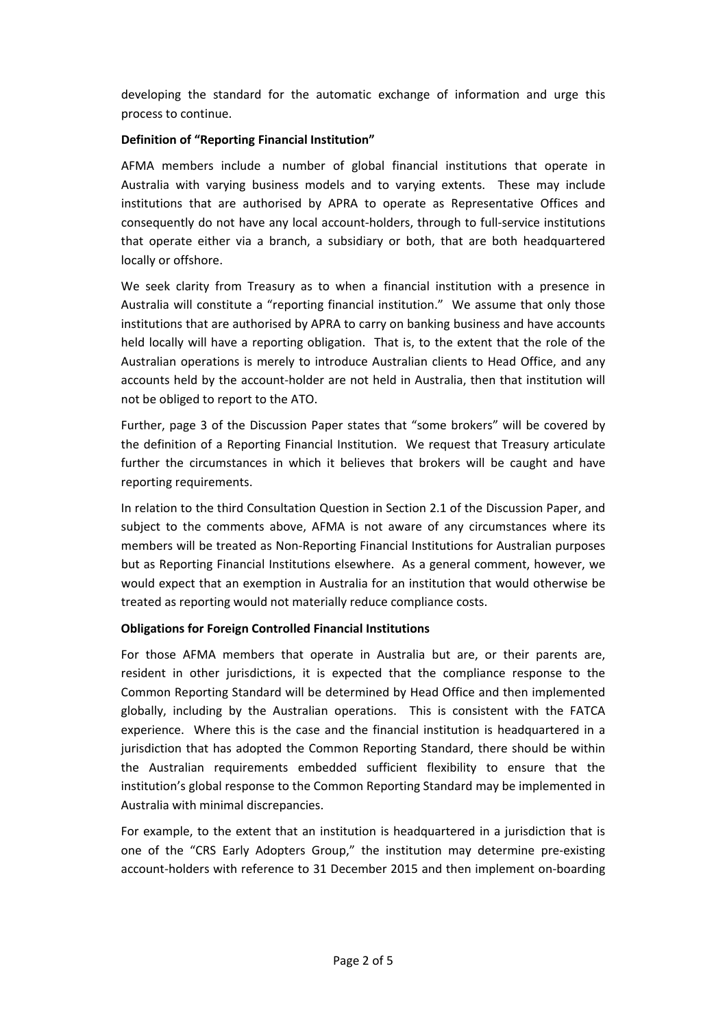developing the standard for the automatic exchange of information and urge this process to continue.

## **Definition of "Reporting Financial Institution"**

 AFMA members include a number of global financial institutions that operate in Australia with varying business models and to varying extents. These may include institutions that are authorised by APRA to operate as Representative Offices and consequently do not have any local account‐holders, through to full‐service institutions that operate either via a branch, a subsidiary or both, that are both headquartered locally or offshore.

 We seek clarity from Treasury as to when a financial institution with a presence in Australia will constitute a "reporting financial institution." We assume that only those institutions that are authorised by APRA to carry on banking business and have accounts held locally will have a reporting obligation. That is, to the extent that the role of the Australian operations is merely to introduce Australian clients to Head Office, and any accounts held by the account‐holder are not held in Australia, then that institution will not be obliged to report to the ATO.

 Further, page 3 of the Discussion Paper states that "some brokers" will be covered by the definition of a Reporting Financial Institution. We request that Treasury articulate further the circumstances in which it believes that brokers will be caught and have reporting requirements.

 In relation to the third Consultation Question in Section 2.1 of the Discussion Paper, and subject to the comments above, AFMA is not aware of any circumstances where its members will be treated as Non‐Reporting Financial Institutions for Australian purposes but as Reporting Financial Institutions elsewhere. As a general comment, however, we would expect that an exemption in Australia for an institution that would otherwise be treated as reporting would not materially reduce compliance costs.

### **Obligations for Foreign Controlled Financial Institutions**

 For those AFMA members that operate in Australia but are, or their parents are, resident in other jurisdictions, it is expected that the compliance response to the Common Reporting Standard will be determined by Head Office and then implemented globally, including by the Australian operations. This is consistent with the FATCA experience. Where this is the case and the financial institution is headquartered in a jurisdiction that has adopted the Common Reporting Standard, there should be within the Australian requirements embedded sufficient flexibility to ensure that the institution's global response to the Common Reporting Standard may be implemented in Australia with minimal discrepancies.

 For example, to the extent that an institution is headquartered in a jurisdiction that is one of the "CRS Early Adopters Group," the institution may determine pre‐existing account‐holders with reference to 31 December 2015 and then implement on‐boarding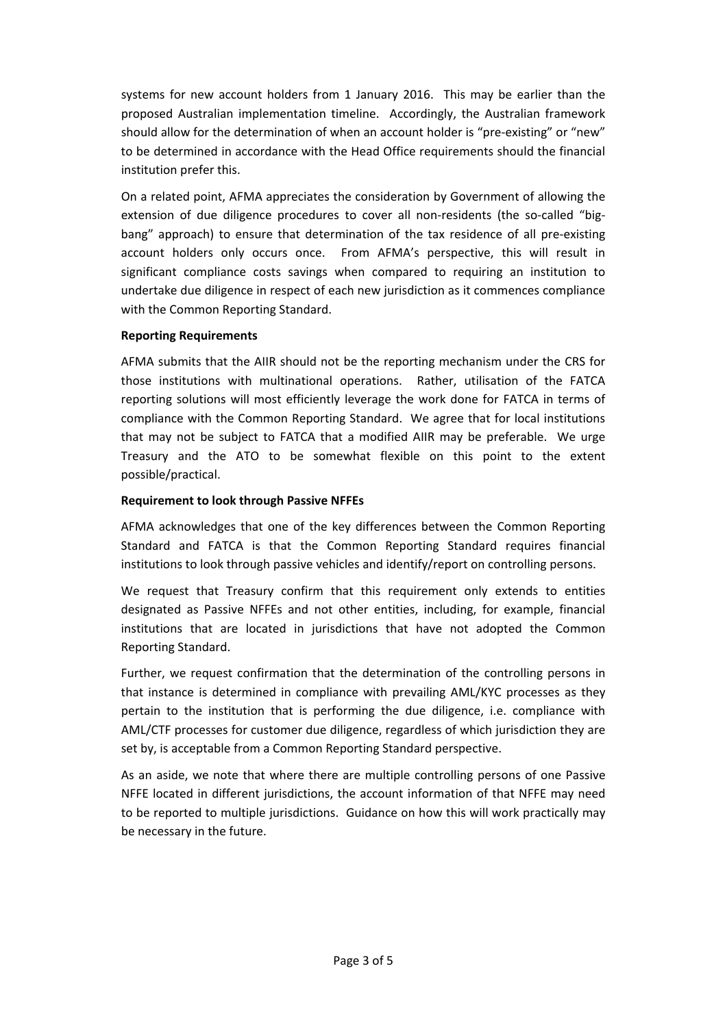systems for new account holders from 1 January 2016. This may be earlier than the proposed Australian implementation timeline. Accordingly, the Australian framework should allow for the determination of when an account holder is "pre‐existing" or "new" to be determined in accordance with the Head Office requirements should the financial institution prefer this.

 On a related point, AFMA appreciates the consideration by Government of allowing the extension of due diligence procedures to cover all non-residents (the so-called "big- bang" approach) to ensure that determination of the tax residence of all pre‐existing account holders only occurs once. From AFMA's perspective, this will result in significant compliance costs savings when compared to requiring an institution to undertake due diligence in respect of each new jurisdiction as it commences compliance with the Common Reporting Standard.

### **Reporting Requirements**

 AFMA submits that the AIIR should not be the reporting mechanism under the CRS for those institutions with multinational operations. Rather, utilisation of the FATCA reporting solutions will most efficiently leverage the work done for FATCA in terms of compliance with the Common Reporting Standard. We agree that for local institutions that may not be subject to FATCA that a modified AIIR may be preferable. We urge Treasury and the ATO to be somewhat flexible on this point to the extent possible/practical.

### **Requirement to look through Passive NFFEs**

 AFMA acknowledges that one of the key differences between the Common Reporting Standard and FATCA is that the Common Reporting Standard requires financial institutions to look through passive vehicles and identify/report on controlling persons.

 We request that Treasury confirm that this requirement only extends to entities designated as Passive NFFEs and not other entities, including, for example, financial institutions that are located in jurisdictions that have not adopted the Common Reporting Standard.

 Further, we request confirmation that the determination of the controlling persons in that instance is determined in compliance with prevailing AML/KYC processes as they pertain to the institution that is performing the due diligence, i.e. compliance with AML/CTF processes for customer due diligence, regardless of which jurisdiction they are set by, is acceptable from a Common Reporting Standard perspective.

 As an aside, we note that where there are multiple controlling persons of one Passive NFFE located in different jurisdictions, the account information of that NFFE may need to be reported to multiple jurisdictions. Guidance on how this will work practically may be necessary in the future.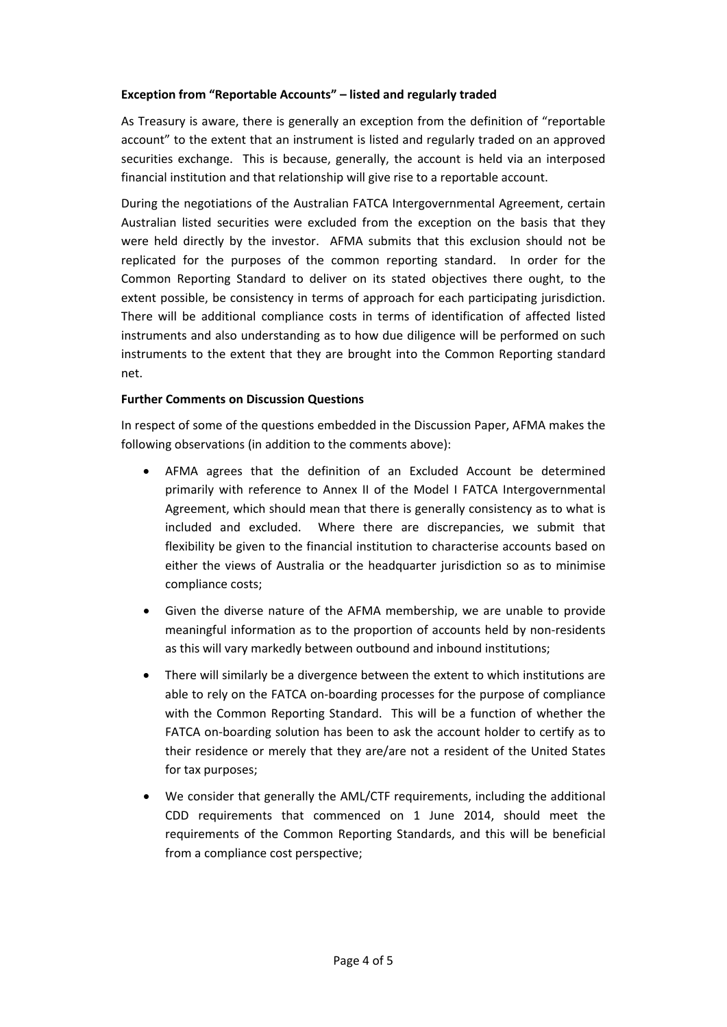# **Exception from "Reportable Accounts" – listed and regularly traded**

 As Treasury is aware, there is generally an exception from the definition of "reportable account" to the extent that an instrument is listed and regularly traded on an approved securities exchange. This is because, generally, the account is held via an interposed financial institution and that relationship will give rise to a reportable account.

 During the negotiations of the Australian FATCA Intergovernmental Agreement, certain Australian listed securities were excluded from the exception on the basis that they were held directly by the investor. AFMA submits that this exclusion should not be replicated for the purposes of the common reporting standard. In order for the Common Reporting Standard to deliver on its stated objectives there ought, to the extent possible, be consistency in terms of approach for each participating jurisdiction. There will be additional compliance costs in terms of identification of affected listed instruments and also understanding as to how due diligence will be performed on such instruments to the extent that they are brought into the Common Reporting standard net.

#### **Further Comments on Discussion Questions**

 In respect of some of the questions embedded in the Discussion Paper, AFMA makes the following observations (in addition to the comments above):

- AFMA agrees that the definition of an Excluded Account be determined primarily with reference to Annex II of the Model I FATCA Intergovernmental Agreement, which should mean that there is generally consistency as to what is included and excluded. Where there are discrepancies, we submit that flexibility be given to the financial institution to characterise accounts based on either the views of Australia or the headquarter jurisdiction so as to minimise compliance costs;
- Given the diverse nature of the AFMA membership, we are unable to provide meaningful information as to the proportion of accounts held by non‐residents as this will vary markedly between outbound and inbound institutions;
- There will similarly be a divergence between the extent to which institutions are able to rely on the FATCA on‐boarding processes for the purpose of compliance with the Common Reporting Standard. This will be a function of whether the FATCA on‐boarding solution has been to ask the account holder to certify as to their residence or merely that they are/are not a resident of the United States for tax purposes;
- We consider that generally the AML/CTF requirements, including the additional CDD requirements that commenced on 1 June 2014, should meet the requirements of the Common Reporting Standards, and this will be beneficial from a compliance cost perspective;